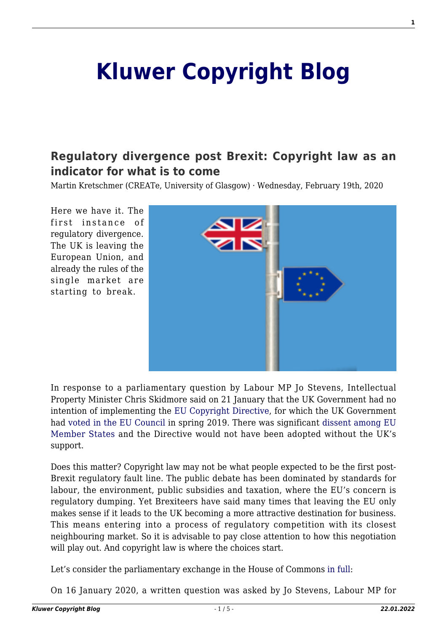## **[Kluwer Copyright Blog](http://copyrightblog.kluweriplaw.com/)**

## **[Regulatory divergence post Brexit: Copyright law as an](http://copyrightblog.kluweriplaw.com/2020/02/19/regulatory-divergence-post-brexit-copyright-law-as-an-indicator-for-what-is-to-come/) [indicator for what is to come](http://copyrightblog.kluweriplaw.com/2020/02/19/regulatory-divergence-post-brexit-copyright-law-as-an-indicator-for-what-is-to-come/)**

Martin Kretschmer (CREATe, University of Glasgow) · Wednesday, February 19th, 2020

Here we have it. The first instance of regulatory divergence. The UK is leaving the European Union, and already the rules of the single market are starting to break.



In response to a parliamentary question by Labour MP Jo Stevens, Intellectual Property Minister Chris Skidmore said on 21 January that the UK Government had no intention of implementing the [EU Copyright Directive,](https://eur-lex.europa.eu/eli/dir/2019/790/oj) for which the UK Government had [voted in the EU Council](https://ec.europa.eu/commission/presscorner/detail/en/IP_19_2151) in spring 2019. There was significant [dissent among EU](https://www.parlament.gv.at/PAKT/EU/XXVI/EU/06/18/EU_61832/imfname_10895457.pdf) [Member States](https://www.parlament.gv.at/PAKT/EU/XXVI/EU/06/18/EU_61832/imfname_10895457.pdf) and the Directive would not have been adopted without the UK's support.

Does this matter? Copyright law may not be what people expected to be the first post-Brexit regulatory fault line. The public debate has been dominated by standards for labour, the environment, public subsidies and taxation, where the EU's concern is regulatory dumping. Yet Brexiteers have said many times that leaving the EU only makes sense if it leads to the UK becoming a more attractive destination for business. This means entering into a process of regulatory competition with its closest neighbouring market. So it is advisable to pay close attention to how this negotiation will play out. And copyright law is where the choices start.

Let's consider the parliamentary exchange in the House of Commons [in full:](https://www.parliament.uk/business/publications/written-questions-answers-statements/written-question/Commons/2020-01-16/4371)

On 16 January 2020, a written question was asked by Jo Stevens, Labour MP for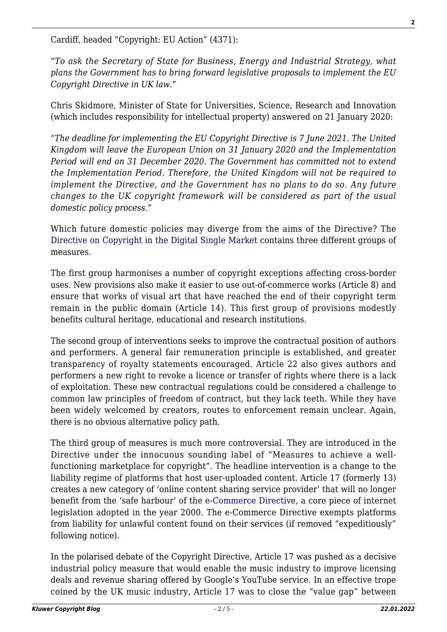Cardiff, headed "Copyright: EU Action" (4371):

"*To ask the Secretary of State for Business, Energy and Industrial Strategy, what plans the Government has to bring forward legislative proposals to implement the EU Copyright Directive in UK law.*"

Chris Skidmore, Minister of State for Universities, Science, Research and Innovation (which includes responsibility for intellectual property) answered on 21 January 2020:

"*The deadline for implementing the EU Copyright Directive is 7 June 2021. The United Kingdom will leave the European Union on 31 January 2020 and the Implementation Period will end on 31 December 2020. The Government has committed not to extend the Implementation Period. Therefore, the United Kingdom will not be required to implement the Directive, and the Government has no plans to do so. Any future changes to the UK copyright framework will be considered as part of the usual domestic policy process.*"

Which future domestic policies may diverge from the aims of the Directive? The [Directive on Copyright in the Digital Single Market](https://eur-lex.europa.eu/eli/dir/2019/790/oj) contains three different groups of measures.

The first group harmonises a number of copyright exceptions affecting cross-border uses. New provisions also make it easier to use out-of-commerce works (Article 8) and ensure that works of visual art that have reached the end of their copyright term remain in the public domain (Article 14). This first group of provisions modestly benefits cultural heritage, educational and research institutions.

The second group of interventions seeks to improve the contractual position of authors and performers. A general fair remuneration principle is established, and greater transparency of royalty statements encouraged. Article 22 also gives authors and performers a new right to revoke a licence or transfer of rights where there is a lack of exploitation. These new contractual regulations could be considered a challenge to common law principles of freedom of contract, but they lack teeth. While they have been widely welcomed by creators, routes to enforcement remain unclear. Again, there is no obvious alternative policy path.

The third group of measures is much more controversial. They are introduced in the Directive under the innocuous sounding label of "Measures to achieve a wellfunctioning marketplace for copyright". The headline intervention is a change to the liability regime of platforms that host user-uploaded content. Article 17 (formerly 13) creates a new category of 'online content sharing service provider' that will no longer benefit from the 'safe harbour' of the [e-Commerce Directive,](https://eur-lex.europa.eu/legal-content/EN/ALL/?uri=CELEX%3A32000L0031) a core piece of internet legislation adopted in the year 2000. The e-Commerce Directive exempts platforms from liability for unlawful content found on their services (if removed "expeditiously" following notice).

In the polarised debate of the Copyright Directive, Article 17 was pushed as a decisive industrial policy measure that would enable the music industry to improve licensing deals and revenue sharing offered by Google's YouTube service. In an effective trope coined by the UK music industry, Article 17 was to close the "value gap" between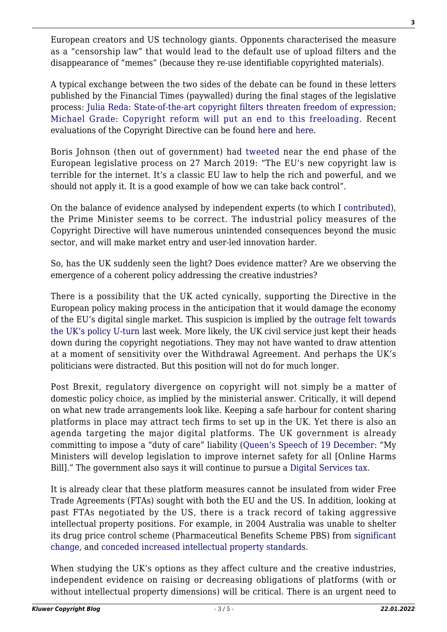European creators and US technology giants. Opponents characterised the measure as a "censorship law" that would lead to the default use of upload filters and the disappearance of "memes" (because they re-use identifiable copyrighted materials).

A typical exchange between the two sides of the debate can be found in these letters published by the Financial Times (paywalled) during the final stages of the legislative process: [Julia Reda: State-of-the-art copyright filters threaten freedom of expression](https://www.ft.com/content/842a5c10-f168-11e8-938a-543765795f99); [Michael Grade: Copyright reform will put an end to this freeloading.](https://www.ft.com/content/43c90aac-f304-11e8-9623-d7f9881e729f) Recent evaluations of the Copyright Directive can be found [here](http://copyrightblog.kluweriplaw.com/2019/06/07/the-new-copyright-directive-a-tour-dhorizon-part-i/) and [here.](http://copyrightblog.kluweriplaw.com/2020/01/22/the-eu-copyright-directive-and-its-potential-impact-on-cultural-diversity-on-the-internet-part-i/)

Boris Johnson (then out of government) had [tweeted](https://twitter.com/borisjohnson/status/1110812485081333760?lang=en) near the end phase of the European legislative process on 27 March 2019: "The EU's new copyright law is terrible for the internet. It's a classic EU law to help the rich and powerful, and we should not apply it. It is a good example of how we can take back control".

On the balance of evidence analysed by independent experts (to which I [contributed](https://www.create.ac.uk/policy-responses/eu-copyright-reform/)), the Prime Minister seems to be correct. The industrial policy measures of the Copyright Directive will have numerous unintended consequences beyond the music sector, and will make market entry and user-led innovation harder.

So, has the UK suddenly seen the light? Does evidence matter? Are we observing the emergence of a coherent policy addressing the creative industries?

There is a possibility that the UK acted cynically, supporting the Directive in the European policy making process in the anticipation that it would damage the economy of the EU's digital single market. This suspicion is implied by the [outrage felt towards](https://twitter.com/Senficon/status/1220792914688692226) [the UK's policy U-turn](https://twitter.com/Senficon/status/1220792914688692226) last week. More likely, the UK civil service just kept their heads down during the copyright negotiations. They may not have wanted to draw attention at a moment of sensitivity over the Withdrawal Agreement. And perhaps the UK's politicians were distracted. But this position will not do for much longer.

Post Brexit, regulatory divergence on copyright will not simply be a matter of domestic policy choice, as implied by the ministerial answer. Critically, it will depend on what new trade arrangements look like. Keeping a safe harbour for content sharing platforms in place may attract tech firms to set up in the UK. Yet there is also an agenda targeting the major digital platforms. The UK government is already committing to impose a "duty of care" liability ([Queen's Speech of 19 December:](https://assets.publishing.service.gov.uk/government/uploads/system/uploads/attachment_data/file/853886/Queen_s_Speech_December_2019_-_background_briefing_notes.pdf) "My Ministers will develop legislation to improve internet safety for all [Online Harms Bill]." The government also says it will continue to pursue a [Digital Services tax](https://www.lexology.com/library/detail.aspx?g=1f976ce0-c5bc-4800-8b1e-016ab70395c4).

It is already clear that these platform measures cannot be insulated from wider Free Trade Agreements (FTAs) sought with both the EU and the US. In addition, looking at past FTAs negotiated by the US, there is a track record of taking aggressive intellectual property positions. For example, in 2004 Australia was unable to shelter its drug price control scheme (Pharmaceutical Benefits Scheme PBS) from [significant](https://www.legislation.gov.au/Details/C2004A01355) [change,](https://www.legislation.gov.au/Details/C2004A01355) and [conceded increased intellectual property standards](https://law.anu.edu.au/sites/all/files/users/u9705219/236-artprometheusfta.pdf).

When studying the UK's options as they affect culture and the creative industries, independent evidence on raising or decreasing obligations of platforms (with or without intellectual property dimensions) will be critical. There is an urgent need to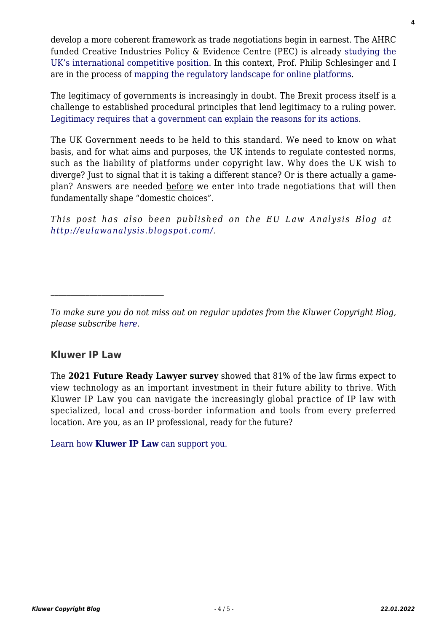develop a more coherent framework as trade negotiations begin in earnest. The AHRC funded Creative Industries Policy & Evidence Centre (PEC) is already [studying the](https://pec.ac.uk/blog/how-internationally-competitive-are-the-creative-industries-towards-a-research-agenda) [UK's international competitive position](https://pec.ac.uk/blog/how-internationally-competitive-are-the-creative-industries-towards-a-research-agenda). In this context, Prof. Philip Schlesinger and I are in the process of [mapping the regulatory landscape for online platforms](https://www.biicl.org/events/11350/new-empirical-research-on-intellectual-property-litigationand-launch-of-platform-regulation-project).

The legitimacy of governments is increasingly in doubt. The Brexit process itself is a challenge to established procedural principles that lend legitimacy to a ruling power. [Legitimacy requires that a government can explain the reasons for its actions.](https://www.hup.harvard.edu/catalog.php?isbn=9780674983465)

The UK Government needs to be held to this standard. We need to know on what basis, and for what aims and purposes, the UK intends to regulate contested norms, such as the liability of platforms under copyright law. Why does the UK wish to diverge? Just to signal that it is taking a different stance? Or is there actually a gameplan? Answers are needed before we enter into trade negotiations that will then fundamentally shape "domestic choices".

*This post has also been published on the EU Law Analysis Blog at [http://eulawanalysis.blogspot.com/.](http://eulawanalysis.blogspot.com/)*

## **Kluwer IP Law**

The **2021 Future Ready Lawyer survey** showed that 81% of the law firms expect to view technology as an important investment in their future ability to thrive. With Kluwer IP Law you can navigate the increasingly global practice of IP law with specialized, local and cross-border information and tools from every preferred location. Are you, as an IP professional, ready for the future?

[Learn how](https://www.wolterskluwer.com/en/solutions/kluweriplaw?utm_source=copyrightnblog&utm_medium=articleCTA&utm_campaign=article-banner) **[Kluwer IP Law](https://www.wolterskluwer.com/en/solutions/kluweriplaw?utm_source=copyrightnblog&utm_medium=articleCTA&utm_campaign=article-banner)** [can support you.](https://www.wolterskluwer.com/en/solutions/kluweriplaw?utm_source=copyrightnblog&utm_medium=articleCTA&utm_campaign=article-banner)

*To make sure you do not miss out on regular updates from the Kluwer Copyright Blog, please subscribe [here.](http://copyrightblog.kluweriplaw.com/newsletter)*